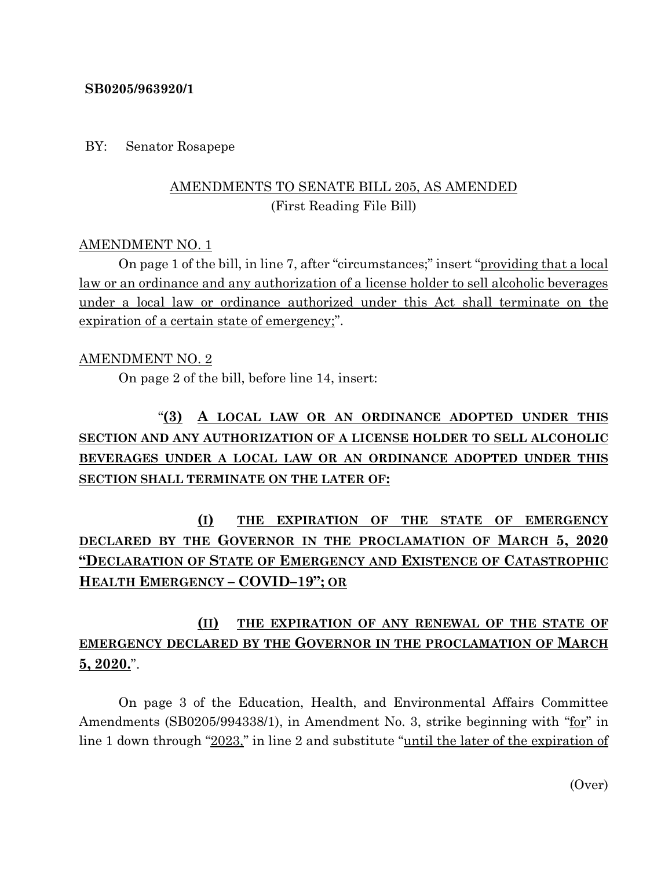#### **SB0205/963920/1**

#### BY: Senator Rosapepe

## AMENDMENTS TO SENATE BILL 205, AS AMENDED (First Reading File Bill)

### AMENDMENT NO. 1

On page 1 of the bill, in line 7, after "circumstances;" insert "providing that a local law or an ordinance and any authorization of a license holder to sell alcoholic beverages under a local law or ordinance authorized under this Act shall terminate on the expiration of a certain state of emergency;".

### AMENDMENT NO. 2

On page 2 of the bill, before line 14, insert:

# "**(3) A LOCAL LAW OR AN ORDINANCE ADOPTED UNDER THIS SECTION AND ANY AUTHORIZATION OF A LICENSE HOLDER TO SELL ALCOHOLIC BEVERAGES UNDER A LOCAL LAW OR AN ORDINANCE ADOPTED UNDER THIS SECTION SHALL TERMINATE ON THE LATER OF:**

**(I) THE EXPIRATION OF THE STATE OF EMERGENCY DECLARED BY THE GOVERNOR IN THE PROCLAMATION OF MARCH 5, 2020 "DECLARATION OF STATE OF EMERGENCY AND EXISTENCE OF CATASTROPHIC HEALTH EMERGENCY – COVID–19"; OR**

## **(II) THE EXPIRATION OF ANY RENEWAL OF THE STATE OF EMERGENCY DECLARED BY THE GOVERNOR IN THE PROCLAMATION OF MARCH 5, 2020.**".

On page 3 of the Education, Health, and Environmental Affairs Committee Amendments (SB0205/994338/1), in Amendment No. 3, strike beginning with "for" in line 1 down through "2023," in line 2 and substitute "until the later of the expiration of